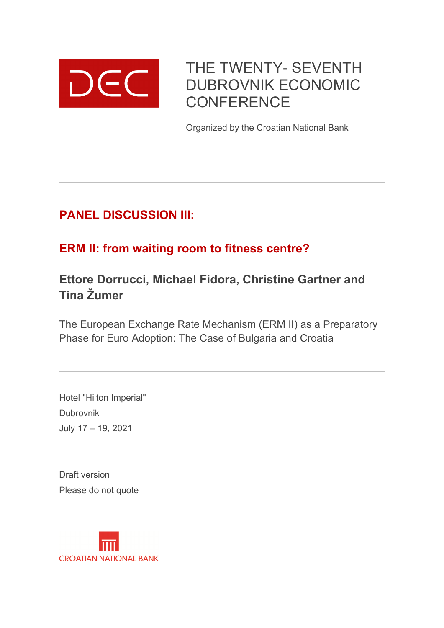

THE TWENTY- SEVENTH DUBROVNIK ECONOMIC **CONFERENCE** 

Organized by the Croatian National Bank

# **PANEL DISCUSSION III:**

# **ERM II: from waiting room to fitness centre?**

# **Ettore Dorrucci, Michael Fidora, Christine Gartner and Tina Žumer**

The European Exchange Rate Mechanism (ERM II) as a Preparatory Phase for Euro Adoption: The Case of Bulgaria and Croatia

Hotel "Hilton Imperial" Dubrovnik July 17 – 19, 2021

Draft version Please do not quote

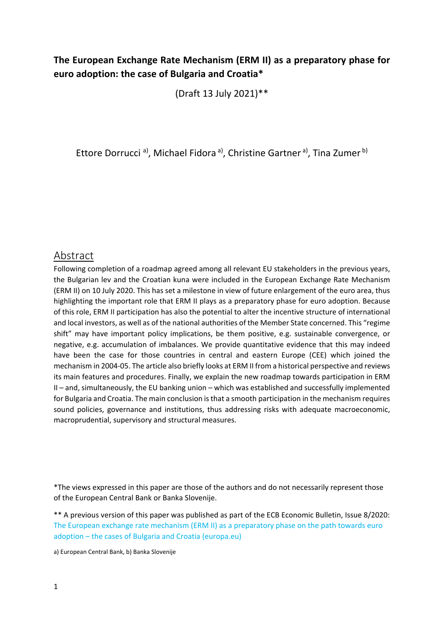## **The European Exchange Rate Mechanism (ERM II) as a preparatory phase for euro adoption: the case of Bulgaria and Croatia\***

(Draft 13 July 2021)\*\*

Ettore Dorrucci<sup>a)</sup>, Michael Fidora<sup>a</sup>, Christine Gartner<sup>a)</sup>, Tina Zumer<sup>b)</sup>

## Abstract

Following completion of a roadmap agreed among all relevant EU stakeholders in the previous years, the Bulgarian lev and the Croatian kuna were included in the European Exchange Rate Mechanism (ERM II) on 10 July 2020. This has set a milestone in view of future enlargement of the euro area, thus highlighting the important role that ERM II plays as a preparatory phase for euro adoption. Because of this role, ERM II participation has also the potential to alter the incentive structure of international and local investors, as well as of the national authorities of the Member State concerned. This "regime shift" may have important policy implications, be them positive, e.g. sustainable convergence, or negative, e.g. accumulation of imbalances. We provide quantitative evidence that this may indeed have been the case for those countries in central and eastern Europe (CEE) which joined the mechanism in 2004‐05. The article also briefly looks at ERM II from a historical perspective and reviews its main features and procedures. Finally, we explain the new roadmap towards participation in ERM II – and, simultaneously, the EU banking union – which was established and successfully implemented for Bulgaria and Croatia. The main conclusion is that a smooth participation in the mechanism requires sound policies, governance and institutions, thus addressing risks with adequate macroeconomic, macroprudential, supervisory and structural measures.

\*The views expressed in this paper are those of the authors and do not necessarily represent those of the European Central Bank or Banka Slovenije.

\*\* A previous version of this paper was published as part of the ECB Economic Bulletin, Issue 8/2020: The European exchange rate mechanism (ERM II) as a preparatory phase on the path towards euro adoption – the cases of Bulgaria and Croatia (europa.eu)

a) European Central Bank, b) Banka Slovenije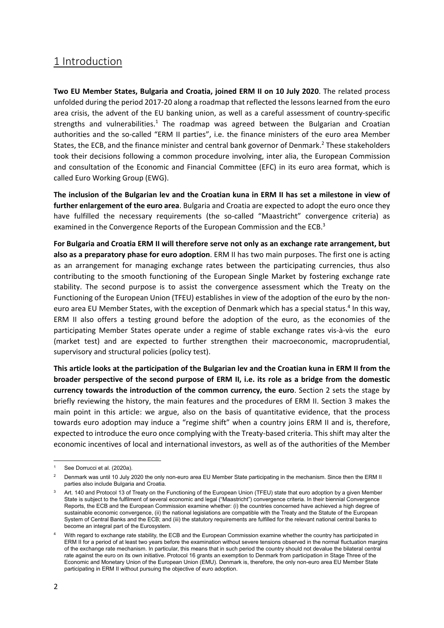## 1 Introduction

**Two EU Member States, Bulgaria and Croatia, joined ERM II on 10 July 2020**. The related process unfolded during the period 2017‐20 along a roadmap that reflected the lessons learned from the euro area crisis, the advent of the EU banking union, as well as a careful assessment of country‐specific strengths and vulnerabilities.<sup>1</sup> The roadmap was agreed between the Bulgarian and Croatian authorities and the so-called "ERM II parties", i.e. the finance ministers of the euro area Member States, the ECB, and the finance minister and central bank governor of Denmark.<sup>2</sup> These stakeholders took their decisions following a common procedure involving, inter alia, the European Commission and consultation of the Economic and Financial Committee (EFC) in its euro area format, which is called Euro Working Group (EWG).

**The inclusion of the Bulgarian lev and the Croatian kuna in ERM II has set a milestone in view of further enlargement of the euro area**. Bulgaria and Croatia are expected to adopt the euro once they have fulfilled the necessary requirements (the so-called "Maastricht" convergence criteria) as examined in the Convergence Reports of the European Commission and the ECB.<sup>3</sup>

**For Bulgaria and Croatia ERM II will therefore serve not only as an exchange rate arrangement, but also as a preparatory phase for euro adoption**. ERM II has two main purposes. The first one is acting as an arrangement for managing exchange rates between the participating currencies, thus also contributing to the smooth functioning of the European Single Market by fostering exchange rate stability. The second purpose is to assist the convergence assessment which the Treaty on the Functioning of the European Union (TFEU) establishes in view of the adoption of the euro by the non‐ euro area EU Member States, with the exception of Denmark which has a special status.<sup>4</sup> In this way, ERM II also offers a testing ground before the adoption of the euro, as the economies of the participating Member States operate under a regime of stable exchange rates vis-à-vis the euro (market test) and are expected to further strengthen their macroeconomic, macroprudential, supervisory and structural policies (policy test).

**This article looks at the participation of the Bulgarian lev and the Croatian kuna in ERM II from the broader perspective of the second purpose of ERM II, i.e. its role as a bridge from the domestic currency towards the introduction of the common currency, the euro**. Section 2 sets the stage by briefly reviewing the history, the main features and the procedures of ERM II. Section 3 makes the main point in this article: we argue, also on the basis of quantitative evidence, that the process towards euro adoption may induce a "regime shift" when a country joins ERM II and is, therefore, expected to introduce the euro once complying with the Treaty-based criteria. This shift may alter the economic incentives of local and international investors, as well as of the authorities of the Member

See Dorrucci et al. (2020a).

<sup>&</sup>lt;sup>2</sup> Denmark was until 10 July 2020 the only non-euro area EU Member State participating in the mechanism. Since then the ERM II parties also include Bulgaria and Croatia.

Art. 140 and Protocol 13 of Treaty on the Functioning of the European Union (TFEU) state that euro adoption by a given Member State is subject to the fulfilment of several economic and legal ("Maastricht") convergence criteria. In their biennial Convergence Reports, the ECB and the European Commission examine whether: (i) the countries concerned have achieved a high degree of sustainable economic convergence, (ii) the national legislations are compatible with the Treaty and the Statute of the European System of Central Banks and the ECB; and (iii) the statutory requirements are fulfilled for the relevant national central banks to become an integral part of the Eurosystem.

With regard to exchange rate stability, the ECB and the European Commission examine whether the country has participated in ERM II for a period of at least two years before the examination without severe tensions observed in the normal fluctuation margins of the exchange rate mechanism. In particular, this means that in such period the country should not devalue the bilateral central rate against the euro on its own initiative. Protocol 16 grants an exemption to Denmark from participation in Stage Three of the Economic and Monetary Union of the European Union (EMU). Denmark is, therefore, the only non-euro area EU Member State participating in ERM II without pursuing the objective of euro adoption.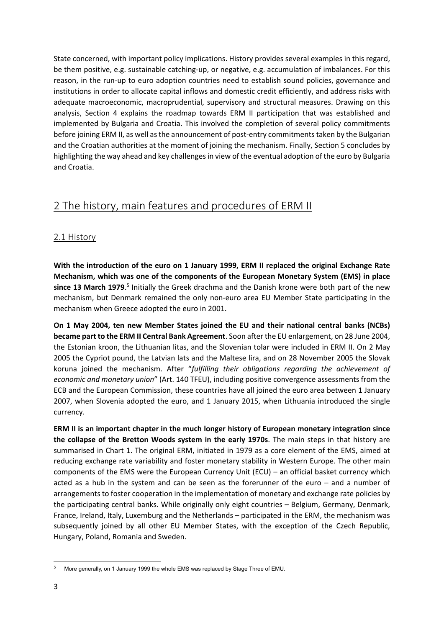State concerned, with important policy implications. History provides several examples in this regard, be them positive, e.g. sustainable catching-up, or negative, e.g. accumulation of imbalances. For this reason, in the run-up to euro adoption countries need to establish sound policies, governance and institutions in order to allocate capital inflows and domestic credit efficiently, and address risks with adequate macroeconomic, macroprudential, supervisory and structural measures. Drawing on this analysis, Section 4 explains the roadmap towards ERM II participation that was established and implemented by Bulgaria and Croatia. This involved the completion of several policy commitments before joining ERM II, as well as the announcement of post-entry commitments taken by the Bulgarian and the Croatian authorities at the moment of joining the mechanism. Finally, Section 5 concludes by highlighting the way ahead and key challenges in view of the eventual adoption of the euro by Bulgaria and Croatia.

# 2 The history, main features and procedures of ERM II

## 2.1 History

**With the introduction of the euro on 1 January 1999, ERM II replaced the original Exchange Rate Mechanism, which was one of the components of the European Monetary System (EMS) in place**  since 13 March 1979.<sup>5</sup> Initially the Greek drachma and the Danish krone were both part of the new mechanism, but Denmark remained the only non-euro area EU Member State participating in the mechanism when Greece adopted the euro in 2001.

**On 1 May 2004, ten new Member States joined the EU and their national central banks (NCBs) became part to the ERM II Central Bank Agreement**. Soon after the EU enlargement, on 28 June 2004, the Estonian kroon, the Lithuanian litas, and the Slovenian tolar were included in ERM II. On 2 May 2005 the Cypriot pound, the Latvian lats and the Maltese lira, and on 28 November 2005 the Slovak koruna joined the mechanism. After "*fulfilling their obligations regarding the achievement of economic and monetary union*" (Art. 140 TFEU), including positive convergence assessments from the ECB and the European Commission, these countries have all joined the euro area between 1 January 2007, when Slovenia adopted the euro, and 1 January 2015, when Lithuania introduced the single currency.

**ERM II is an important chapter in the much longer history of European monetary integration since the collapse of the Bretton Woods system in the early 1970s**. The main steps in that history are summarised in Chart 1. The original ERM, initiated in 1979 as a core element of the EMS, aimed at reducing exchange rate variability and foster monetary stability in Western Europe. The other main components of the EMS were the European Currency Unit (ECU) – an official basket currency which acted as a hub in the system and can be seen as the forerunner of the euro  $-$  and a number of arrangements to foster cooperation in the implementation of monetary and exchange rate policies by the participating central banks. While originally only eight countries – Belgium, Germany, Denmark, France, Ireland, Italy, Luxemburg and the Netherlands – participated in the ERM, the mechanism was subsequently joined by all other EU Member States, with the exception of the Czech Republic, Hungary, Poland, Romania and Sweden.

<sup>5</sup> More generally, on 1 January 1999 the whole EMS was replaced by Stage Three of EMU.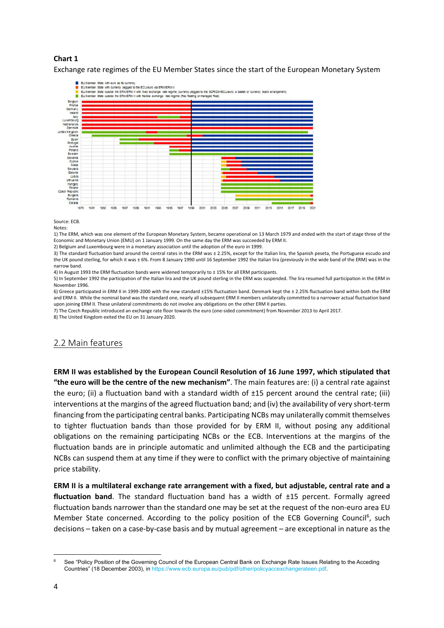### **Chart 1**

Exchange rate regimes of the EU Member States since the start of the European Monetary System



Source: ECB.

Notes:

1) The ERM, which was one element of the European Monetary System, became operational on 13 March 1979 and ended with the start of stage three of the Economic and Monetary Union (EMU) on 1 January 1999. On the same day the ERM was succeeded by ERM II.

2) Belgium and Luxembourg were in a monetary association until the adoption of the euro in 1999.

3) The standard fluctuation band around the central rates in the ERM was ± 2.25%, except for the Italian lira, the Spanish peseta, the Portuguese escudo and the UK pound sterling, for which it was ± 6%. From 8 January 1990 until 16 September 1992 the Italian lira (previously in the wide band of the ERM) was in the narrow band.

4) In August 1993 the ERM fluctuation bands were widened temporarily to ± 15% for all ERM participants.

5) In September 1992 the participation of the Italian lira and the UK pound sterling in the ERM was suspended. The lira resumed full participation in the ERM in November 1996.

6) Greece participated in ERM II in 1999‐2000 with the new standard ±15% fluctuation band. Denmark kept the ± 2.25% fluctuation band within both the ERM and ERM II. While the nominal band was the standard one, nearly all subsequent ERM II members unilaterally committed to a narrower actual fluctuation band upon joining ERM II. These unilateral commitments do not involve any obligations on the other ERM II parties.

7) The Czech Republic introduced an exchange rate floor towards the euro (one‐sided commitment) from November 2013 to April 2017.

8) The United Kingdom exited the EU on 31 January 2020.

## 2.2 Main features

**ERM II was established by the European Council Resolution of 16 June 1997, which stipulated that "the euro will be the centre of the new mechanism"**. The main features are: (i) a central rate against the euro; (ii) a fluctuation band with a standard width of ±15 percent around the central rate; (iii) interventions at the margins of the agreed fluctuation band; and (iv) the availability of very short‐term financing from the participating central banks. Participating NCBs may unilaterally commit themselves to tighter fluctuation bands than those provided for by ERM II, without posing any additional obligations on the remaining participating NCBs or the ECB. Interventions at the margins of the fluctuation bands are in principle automatic and unlimited although the ECB and the participating NCBs can suspend them at any time if they were to conflict with the primary objective of maintaining price stability.

**ERM II is a multilateral exchange rate arrangement with a fixed, but adjustable, central rate and a fluctuation band**. The standard fluctuation band has a width of ±15 percent. Formally agreed fluctuation bands narrower than the standard one may be set at the request of the non-euro area EU Member State concerned. According to the policy position of the ECB Governing Council<sup>6</sup>, such decisions – taken on a case‐by‐case basis and by mutual agreement – are exceptional in nature as the

<sup>6</sup> See "Policy Position of the Governing Council of the European Central Bank on Exchange Rate Issues Relating to the Acceding Countries" (18 December 2003), in https://www.ecb.europa.eu/pub/pdf/other/policyaccexchangerateen.pdf.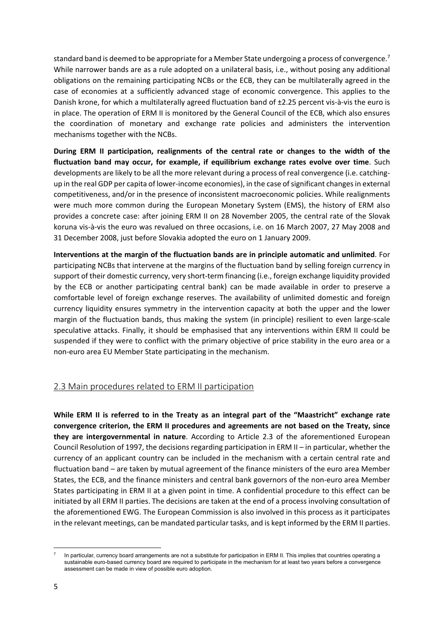standard band is deemed to be appropriate for a Member State undergoing a process of convergence.<sup>7</sup> While narrower bands are as a rule adopted on a unilateral basis, i.e., without posing any additional obligations on the remaining participating NCBs or the ECB, they can be multilaterally agreed in the case of economies at a sufficiently advanced stage of economic convergence. This applies to the Danish krone, for which a multilaterally agreed fluctuation band of ±2.25 percent vis‐à‐vis the euro is in place. The operation of ERM II is monitored by the General Council of the ECB, which also ensures the coordination of monetary and exchange rate policies and administers the intervention mechanisms together with the NCBs.

**During ERM II participation, realignments of the central rate or changes to the width of the fluctuation band may occur, for example, if equilibrium exchange rates evolve over time**. Such developments are likely to be all the more relevant during a process of real convergence (i.e. catchingup in the real GDP per capita of lower‐income economies), in the case of significant changes in external competitiveness, and/or in the presence of inconsistent macroeconomic policies. While realignments were much more common during the European Monetary System (EMS), the history of ERM also provides a concrete case: after joining ERM II on 28 November 2005, the central rate of the Slovak koruna vis‐à‐vis the euro was revalued on three occasions, i.e. on 16 March 2007, 27 May 2008 and 31 December 2008, just before Slovakia adopted the euro on 1 January 2009.

**Interventions at the margin of the fluctuation bands are in principle automatic and unlimited**. For participating NCBs that intervene at the margins of the fluctuation band by selling foreign currency in support of their domestic currency, very short-term financing (i.e., foreign exchange liquidity provided by the ECB or another participating central bank) can be made available in order to preserve a comfortable level of foreign exchange reserves. The availability of unlimited domestic and foreign currency liquidity ensures symmetry in the intervention capacity at both the upper and the lower margin of the fluctuation bands, thus making the system (in principle) resilient to even large-scale speculative attacks. Finally, it should be emphasised that any interventions within ERM II could be suspended if they were to conflict with the primary objective of price stability in the euro area or a non‐euro area EU Member State participating in the mechanism.

## 2.3 Main procedures related to ERM II participation

**While ERM II is referred to in the Treaty as an integral part of the "Maastricht" exchange rate convergence criterion, the ERM II procedures and agreements are not based on the Treaty, since they are intergovernmental in nature**. According to Article 2.3 of the aforementioned European Council Resolution of 1997, the decisions regarding participation in ERM II – in particular, whether the currency of an applicant country can be included in the mechanism with a certain central rate and fluctuation band – are taken by mutual agreement of the finance ministers of the euro area Member States, the ECB, and the finance ministers and central bank governors of the non‐euro area Member States participating in ERM II at a given point in time. A confidential procedure to this effect can be initiated by all ERM II parties. The decisions are taken at the end of a process involving consultation of the aforementioned EWG. The European Commission is also involved in this process as it participates in the relevant meetings, can be mandated particular tasks, and is kept informed by the ERM II parties.

In particular, currency board arrangements are not a substitute for participation in ERM II. This implies that countries operating a sustainable euro-based currency board are required to participate in the mechanism for at least two years before a convergence assessment can be made in view of possible euro adoption.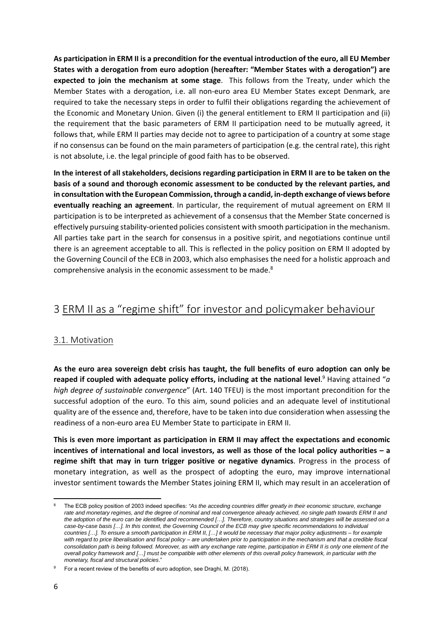**As participation in ERM II is a precondition for the eventual introduction of the euro, all EU Member States with a derogation from euro adoption (hereafter: "Member States with a derogation") are expected to join the mechanism at some stage**. This follows from the Treaty, under which the Member States with a derogation, i.e. all non-euro area EU Member States except Denmark, are required to take the necessary steps in order to fulfil their obligations regarding the achievement of the Economic and Monetary Union. Given (i) the general entitlement to ERM II participation and (ii) the requirement that the basic parameters of ERM II participation need to be mutually agreed, it follows that, while ERM II parties may decide not to agree to participation of a country at some stage if no consensus can be found on the main parameters of participation (e.g. the central rate), this right is not absolute, i.e. the legal principle of good faith has to be observed.

**In the interest of all stakeholders, decisions regarding participation in ERM II are to be taken on the basis of a sound and thorough economic assessment to be conducted by the relevant parties, and in consultation with the European Commission, through a candid, in‐depth exchange of views before eventually reaching an agreement**. In particular, the requirement of mutual agreement on ERM II participation is to be interpreted as achievement of a consensus that the Member State concerned is effectively pursuing stability‐oriented policies consistent with smooth participation in the mechanism. All parties take part in the search for consensus in a positive spirit, and negotiations continue until there is an agreement acceptable to all. This is reflected in the policy position on ERM II adopted by the Governing Council of the ECB in 2003, which also emphasises the need for a holistic approach and comprehensive analysis in the economic assessment to be made.8

# 3 ERM II as a "regime shift" for investor and policymaker behaviour

### 3.1. Motivation

**As the euro area sovereign debt crisis has taught, the full benefits of euro adoption can only be**  reaped if coupled with adequate policy efforts, including at the national level.<sup>9</sup> Having attained "a *high degree of sustainable convergence*" (Art. 140 TFEU) is the most important precondition for the successful adoption of the euro. To this aim, sound policies and an adequate level of institutional quality are of the essence and, therefore, have to be taken into due consideration when assessing the readiness of a non‐euro area EU Member State to participate in ERM II.

**This is even more important as participation in ERM II may affect the expectations and economic incentives of international and local investors, as well as those of the local policy authorities – a**  regime shift that may in turn trigger positive or negative dynamics. Progress in the process of monetary integration, as well as the prospect of adopting the euro, may improve international investor sentiment towards the Member States joining ERM II, which may result in an acceleration of

<sup>8</sup> The ECB policy position of 2003 indeed specifies: *"As the acceding countries differ greatly in their economic structure, exchange*  rate and monetary regimes, and the degree of nominal and real convergence already achieved, no single path towards ERM II and *the adoption of the euro can be identified and recommended […]. Therefore, country situations and strategies will be assessed on a case-by-case basis […]. In this context, the Governing Council of the ECB may give specific recommendations to individual countries […]. To ensure a smooth participation in ERM II, […] it would be necessary that major policy adjustments – for example*  with regard to price liberalisation and fiscal policy – are undertaken prior to participation in the mechanism and that a credible fiscal *consolidation path is being followed. Moreover, as with any exchange rate regime, participation in ERM II is only one element of the overall policy framework and […] must be compatible with other elements of this overall policy framework, in particular with the monetary, fiscal and structural policies*."

<sup>&</sup>lt;sup>9</sup> For a recent review of the benefits of euro adoption, see Draghi, M. (2018).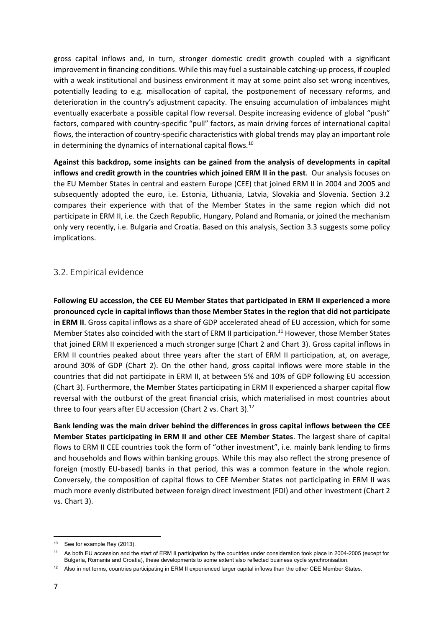gross capital inflows and, in turn, stronger domestic credit growth coupled with a significant improvement in financing conditions. While this may fuel a sustainable catching-up process, if coupled with a weak institutional and business environment it may at some point also set wrong incentives, potentially leading to e.g. misallocation of capital, the postponement of necessary reforms, and deterioration in the country's adjustment capacity. The ensuing accumulation of imbalances might eventually exacerbate a possible capital flow reversal. Despite increasing evidence of global "push" factors, compared with country‐specific "pull" factors, as main driving forces of international capital flows, the interaction of country-specific characteristics with global trends may play an important role in determining the dynamics of international capital flows.<sup>10</sup>

**Against this backdrop, some insights can be gained from the analysis of developments in capital inflows and credit growth in the countries which joined ERM II in the past**. Our analysis focuses on the EU Member States in central and eastern Europe (CEE) that joined ERM II in 2004 and 2005 and subsequently adopted the euro, i.e. Estonia, Lithuania, Latvia, Slovakia and Slovenia. Section 3.2 compares their experience with that of the Member States in the same region which did not participate in ERM II, i.e. the Czech Republic, Hungary, Poland and Romania, or joined the mechanism only very recently, i.e. Bulgaria and Croatia. Based on this analysis, Section 3.3 suggests some policy implications.

### 3.2. Empirical evidence

**Following EU accession, the CEE EU Member States that participated in ERM II experienced a more pronounced cycle in capital inflows than those Member States in the region that did not participate in ERM II**. Gross capital inflows as a share of GDP accelerated ahead of EU accession, which for some Member States also coincided with the start of ERM II participation.<sup>11</sup> However, those Member States that joined ERM II experienced a much stronger surge (Chart 2 and Chart 3). Gross capital inflows in ERM II countries peaked about three years after the start of ERM II participation, at, on average, around 30% of GDP (Chart 2). On the other hand, gross capital inflows were more stable in the countries that did not participate in ERM II, at between 5% and 10% of GDP following EU accession (Chart 3). Furthermore, the Member States participating in ERM II experienced a sharper capital flow reversal with the outburst of the great financial crisis, which materialised in most countries about three to four years after EU accession (Chart 2 vs. Chart 3). $^{12}$ 

**Bank lending was the main driver behind the differences in gross capital inflows between the CEE Member States participating in ERM II and other CEE Member States**. The largest share of capital flows to ERM II CEE countries took the form of "other investment", i.e. mainly bank lending to firms and households and flows within banking groups. While this may also reflect the strong presence of foreign (mostly EU-based) banks in that period, this was a common feature in the whole region. Conversely, the composition of capital flows to CEE Member States not participating in ERM II was much more evenly distributed between foreign direct investment (FDI) and other investment (Chart 2 vs. Chart 3).

<sup>10</sup> See for example Rey (2013).

<sup>11</sup> As both EU accession and the start of ERM II participation by the countries under consideration took place in 2004-2005 (except for Bulgaria, Romania and Croatia), these developments to some extent also reflected business cycle synchronisation.

<sup>&</sup>lt;sup>12</sup> Also in net terms, countries participating in ERM II experienced larger capital inflows than the other CEE Member States.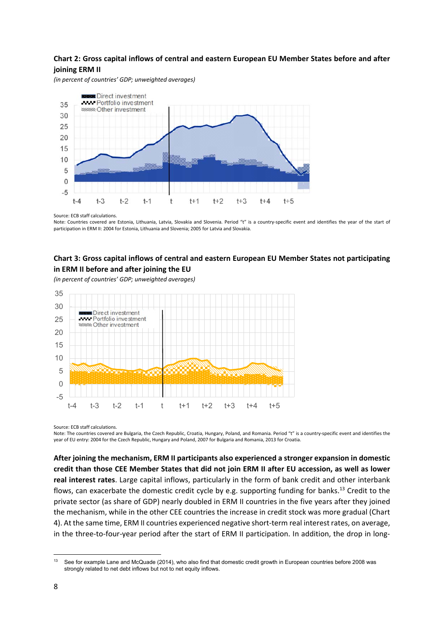### **Chart 2: Gross capital inflows of central and eastern European EU Member States before and after joining ERM II**

*(in percent of countries' GDP; unweighted averages)* 



Source: ECB staff calculations.

Note: Countries covered are Estonia, Lithuania, Latvia, Slovakia and Slovenia. Period "t" is a country-specific event and identifies the year of the start of participation in ERM II: 2004 for Estonia, Lithuania and Slovenia; 2005 for Latvia and Slovakia.

### **Chart 3: Gross capital inflows of central and eastern European EU Member States not participating in ERM II before and after joining the EU**

*(in percent of countries' GDP; unweighted averages)* 



Source: ECB staff calculations.

Note: The countries covered are Bulgaria, the Czech Republic, Croatia, Hungary, Poland, and Romania. Period "t" is a country-specific event and identifies the year of EU entry: 2004 for the Czech Republic, Hungary and Poland, 2007 for Bulgaria and Romania, 2013 for Croatia.

**After joining the mechanism, ERM II participants also experienced a stronger expansion in domestic credit than those CEE Member States that did not join ERM II after EU accession, as well as lower real interest rates**. Large capital inflows, particularly in the form of bank credit and other interbank flows, can exacerbate the domestic credit cycle by e.g. supporting funding for banks.<sup>13</sup> Credit to the private sector (as share of GDP) nearly doubled in ERM II countries in the five years after they joined the mechanism, while in the other CEE countries the increase in credit stock was more gradual (Chart 4). At the same time, ERM II countries experienced negative short-term real interest rates, on average, in the three-to-four-year period after the start of ERM II participation. In addition, the drop in long-

<sup>&</sup>lt;sup>13</sup> See for example Lane and McQuade (2014), who also find that domestic credit growth in European countries before 2008 was strongly related to net debt inflows but not to net equity inflows.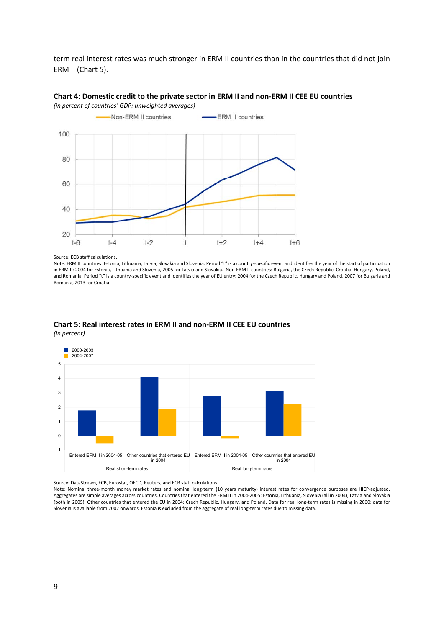term real interest rates was much stronger in ERM II countries than in the countries that did not join ERM II (Chart 5).



### **Chart 4: Domestic credit to the private sector in ERM II and non‐ERM II CEE EU countries**  *(in percent of countries' GDP; unweighted averages)*

#### Source: ECB staff calculations.

Note: ERM II countries: Estonia, Lithuania, Latvia, Slovakia and Slovenia. Period "t" is a country-specific event and identifies the year of the start of participation in ERM II: 2004 for Estonia, Lithuania and Slovenia, 2005 for Latvia and Slovakia. Non‐ERM II countries: Bulgaria, the Czech Republic, Croatia, Hungary, Poland, and Romania. Period "t" is a country-specific event and identifies the year of EU entry: 2004 for the Czech Republic, Hungary and Poland, 2007 for Bulgaria and Romania, 2013 for Croatia.



### **Chart 5: Real interest rates in ERM II and non‐ERM II CEE EU countries**  *(in percent)*

Source: DataStream, ECB, Eurostat, OECD, Reuters, and ECB staff calculations.

Note: Nominal three-month money market rates and nominal long-term (10 years maturity) interest rates for convergence purposes are HICP-adjusted. Aggregates are simple averages across countries. Countries that entered the ERM II in 2004-2005: Estonia, Lithuania, Slovenia (all in 2004), Latvia and Slovakia (both in 2005). Other countries that entered the EU in 2004: Czech Republic, Hungary, and Poland. Data for real long‐term rates is missing in 2000; data for Slovenia is available from 2002 onwards. Estonia is excluded from the aggregate of real long-term rates due to missing data.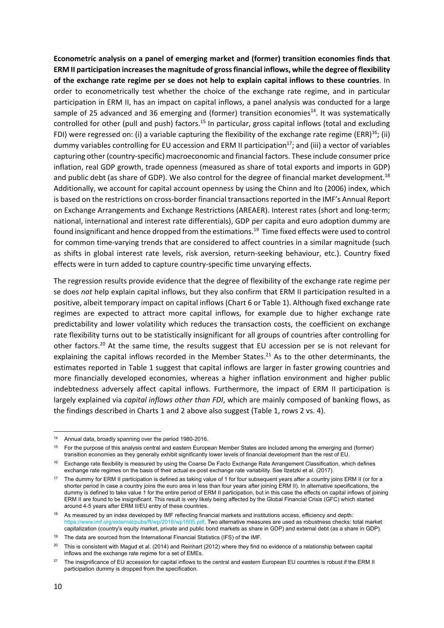**Econometric analysis on a panel of emerging market and (former) transition economies finds that ERM II participation increases the magnitude of gross financial inflows, while the degree of flexibility of the exchange rate regime per se does not help to explain capital inflows to these countries**. In order to econometrically test whether the choice of the exchange rate regime, and in particular participation in ERM II, has an impact on capital inflows, a panel analysis was conducted for a large sample of 25 advanced and 36 emerging and (former) transition economies<sup>14</sup>. It was systematically controlled for other (pull and push) factors.<sup>15</sup> In particular, gross capital inflows (total and excluding FDI) were regressed on: (i) a variable capturing the flexibility of the exchange rate regime (ERR)<sup>16</sup>; (ii) dummy variables controlling for EU accession and ERM II participation<sup>17</sup>; and (iii) a vector of variables capturing other (country‐specific) macroeconomic and financial factors. These include consumer price inflation, real GDP growth, trade openness (measured as share of total exports and imports in GDP) and public debt (as share of GDP). We also control for the degree of financial market development.<sup>18</sup> Additionally, we account for capital account openness by using the Chinn and Ito (2006) index, which is based on the restrictions on cross‐border financial transactions reported in the IMF's Annual Report on Exchange Arrangements and Exchange Restrictions (AREAER). Interest rates (short and long-term; national, international and interest rate differentials), GDP per capita and euro adoption dummy are found insignificant and hence dropped from the estimations.19 Time fixed effects were used to control for common time‐varying trends that are considered to affect countries in a similar magnitude (such as shifts in global interest rate levels, risk aversion, return-seeking behaviour, etc.). Country fixed effects were in turn added to capture country‐specific time unvarying effects.

The regression results provide evidence that the degree of flexibility of the exchange rate regime per se does *not* help explain capital inflows, but they also confirm that ERM II participation resulted in a positive, albeit temporary impact on capital inflows (Chart 6 or Table 1). Although fixed exchange rate regimes are expected to attract more capital inflows, for example due to higher exchange rate predictability and lower volatility which reduces the transaction costs, the coefficient on exchange rate flexibility turns out to be statistically insignificant for all groups of countries after controlling for other factors.<sup>20</sup> At the same time, the results suggest that EU accession per se is not relevant for explaining the capital inflows recorded in the Member States.<sup>21</sup> As to the other determinants, the estimates reported in Table 1 suggest that capital inflows are larger in faster growing countries and more financially developed economies, whereas a higher inflation environment and higher public indebtedness adversely affect capital inflows. Furthermore, the impact of ERM II participation is largely explained via *capital inflows other than FDI*, which are mainly composed of banking flows, as the findings described in Charts 1 and 2 above also suggest (Table 1, rows 2 vs. 4).

<sup>14</sup> Annual data, broadly spanning over the period 1980-2016.

<sup>&</sup>lt;sup>15</sup> For the purpose of this analysis central and eastern European Member States are included among the emerging and (former) transition economies as they generally exhibit significantly lower levels of financial development than the rest of EU.

<sup>16</sup> Exchange rate flexibility is measured by using the Coarse De Facto Exchange Rate Arrangement Classification, which defines exchange rate regimes on the basis of their actual ex-post exchange rate variability. See Ilzetzki et al. (2017).

<sup>17</sup> The dummy for ERM II participation is defined as taking value of 1 for four subsequent years after a country joins ERM II (or for a shorter period in case a country joins the euro area in less than four years after joining ERM II). In alternative specifications, the dummy is defined to take value 1 for the entire period of ERM II participation, but in this case the effects on capital inflows of joining ERM II are found to be insignificant. This result is very likely being affected by the Global Financial Crisis (GFC) which started around 4-5 years after ERM II/EU entry of these countries.

As measured by an index developed by IMF reflecting financial markets and institutions access, efficiency and depth: https://www.imf.org/external/pubs/ft/wp/2016/wp1605.pdf. Two alternative measures are used as robustness checks: total market capitalization (country's equity market, private and public bond markets as share in GDP) and external debt (as a share in GDP).

<sup>19</sup> The data are sourced from the International Financial Statistics (IFS) of the IMF.

<sup>&</sup>lt;sup>20</sup> This is consistent with Magud et al. (2014) and Reinhart (2012) where they find no evidence of a relationship between capital inflows and the exchange rate regime for a set of EMEs.

<sup>&</sup>lt;sup>21</sup> The insignificance of EU accession for capital inflows to the central and eastern European EU countries is robust if the ERM II participation dummy is dropped from the specification.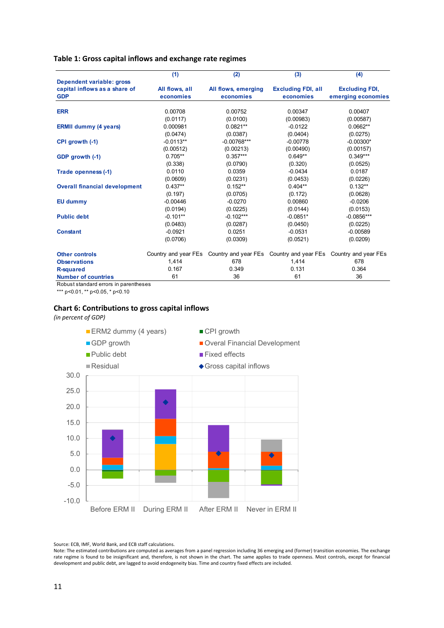### **Table 1: Gross capital inflows and exchange rate regimes**

|                                      | (1)            | (2)                                                                                 | (3)                       | (4)                   |
|--------------------------------------|----------------|-------------------------------------------------------------------------------------|---------------------------|-----------------------|
| Dependent variable: gross            |                |                                                                                     |                           |                       |
| capital inflows as a share of        | All flows, all | All flows, emerging                                                                 | <b>Excluding FDI, all</b> | <b>Excluding FDI,</b> |
| <b>GDP</b>                           | economies      | economies                                                                           | economies                 | emerging economies    |
| <b>ERR</b>                           | 0.00708        | 0.00752                                                                             | 0.00347                   | 0.00407               |
|                                      | (0.0117)       | (0.0100)                                                                            | (0.00983)                 | (0.00587)             |
| <b>ERMII dummy (4 years)</b>         | 0.000981       | $0.0821**$                                                                          | $-0.0122$                 | $0.0662**$            |
|                                      | (0.0474)       | (0.0387)                                                                            | (0.0404)                  | (0.0275)              |
| CPI growth (-1)                      | $-0.0113**$    | $-0.00768***$                                                                       | $-0.00778$                | $-0.00300*$           |
|                                      | (0.00512)      | (0.00213)                                                                           | (0.00490)                 | (0.00157)             |
| GDP growth (-1)                      | $0.705**$      | $0.357***$                                                                          | $0.649**$                 | $0.349***$            |
|                                      | (0.338)        | (0.0790)                                                                            | (0.320)                   | (0.0525)              |
| Trade openness (-1)                  | 0.0110         | 0.0359                                                                              | $-0.0434$                 | 0.0187                |
|                                      | (0.0609)       | (0.0231)                                                                            | (0.0453)                  | (0.0226)              |
| <b>Overall financial development</b> | $0.437**$      | $0.152**$                                                                           | $0.404**$                 | $0.132**$             |
|                                      | (0.197)        | (0.0705)                                                                            | (0.172)                   | (0.0628)              |
| <b>EU dummy</b>                      | $-0.00446$     | $-0.0270$                                                                           | 0.00860                   | $-0.0206$             |
|                                      | (0.0194)       | (0.0225)                                                                            | (0.0144)                  | (0.0153)              |
| <b>Public debt</b>                   | $-0.101**$     | $-0.102***$                                                                         | $-0.0851*$                | $-0.0856***$          |
|                                      | (0.0483)       | (0.0287)                                                                            | (0.0450)                  | (0.0225)              |
| <b>Constant</b>                      | $-0.0921$      | 0.0251                                                                              | $-0.0531$                 | $-0.00589$            |
|                                      | (0.0706)       | (0.0309)                                                                            | (0.0521)                  | (0.0209)              |
| <b>Other controls</b>                |                | Country and year FEs Country and year FEs Country and year FEs Country and year FEs |                           |                       |
| <b>Observations</b>                  | 1,414          | 678                                                                                 | 1,414                     | 678                   |
| <b>R-squared</b>                     | 0.167          | 0.349                                                                               | 0.131                     | 0.364                 |
| <b>Number of countries</b>           | 61             | 36                                                                                  | 61                        | 36                    |

Robust standard errors in parentheses

\*\*\* p<0.01, \*\* p<0.05, \* p<0.10

### **Chart 6: Contributions to gross capital inflows**

*(in percent of GDP)* 



Source: ECB, IMF, World Bank, and ECB staff calculations.

Note: The estimated contributions are computed as averages from a panel regression including 36 emerging and (former) transition economies. The exchange rate regime is found to be insignificant and, therefore, is not shown in the chart. The same applies to trade openness. Most controls, except for financial development and public debt, are lagged to avoid endogeneity bias. Time and country fixed effects are included.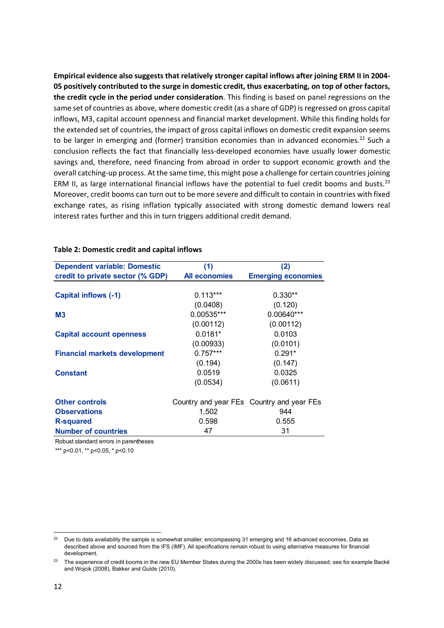**Empirical evidence also suggests that relatively stronger capital inflows after joining ERM II in 2004‐ 05 positively contributed to the surge in domestic credit, thus exacerbating, on top of other factors, the credit cycle in the period under consideration**. This finding is based on panel regressions on the same set of countries as above, where domestic credit (as a share of GDP) is regressed on gross capital inflows, M3, capital account openness and financial market development. While this finding holds for the extended set of countries, the impact of gross capital inflows on domestic credit expansion seems to be larger in emerging and (former) transition economies than in advanced economies.<sup>22</sup> Such a conclusion reflects the fact that financially less‐developed economies have usually lower domestic savings and, therefore, need financing from abroad in order to support economic growth and the overall catching‐up process. At the same time, this might pose a challenge for certain countries joining ERM II, as large international financial inflows have the potential to fuel credit booms and busts.<sup>23</sup> Moreover, credit booms can turn out to be more severe and difficult to contain in countries with fixed exchange rates, as rising inflation typically associated with strong domestic demand lowers real interest rates further and this in turn triggers additional credit demand.

| <b>Dependent variable: Domestic</b>  | (1)                  | (2)                                       |
|--------------------------------------|----------------------|-------------------------------------------|
| credit to private sector (% GDP)     | <b>All economies</b> | <b>Emerging economies</b>                 |
|                                      |                      |                                           |
| <b>Capital inflows (-1)</b>          | $0.113***$           | $0.330**$                                 |
|                                      | (0.0408)             | (0.120)                                   |
| <b>M3</b>                            | 0.00535***           | 0.00640***                                |
|                                      | (0.00112)            | (0.00112)                                 |
| <b>Capital account openness</b>      | $0.0181*$            | 0.0103                                    |
|                                      | (0.00933)            | (0.0101)                                  |
| <b>Financial markets development</b> | $0.757***$           | $0.291*$                                  |
|                                      | (0.194)              | (0.147)                                   |
| <b>Constant</b>                      | 0.0519               | 0.0325                                    |
|                                      | (0.0534)             | (0.0611)                                  |
| <b>Other controls</b>                |                      | Country and year FEs Country and year FEs |
| <b>Observations</b>                  | 1,502                | 944                                       |
| <b>R-squared</b>                     | 0.598                | 0.555                                     |
| <b>Number of countries</b>           | 47                   | 31                                        |

### **Table 2: Domestic credit and capital inflows**

Robust standard errors in parentheses

\*\*\* p<0.01, \*\* p<0.05, \* p<0.10

<sup>&</sup>lt;sup>22</sup> Due to data availability the sample is somewhat smaller, encompassing 31 emerging and 16 advanced economies. Data as described above and sourced from the IFS (IMF). All specifications remain robust to using alternative measures for financial development.

<sup>&</sup>lt;sup>23</sup> The experience of credit booms in the new EU Member States during the 2000s has been widely discussed; see for example Backé and Wojcik (2008), Bakker and Gulde (2010).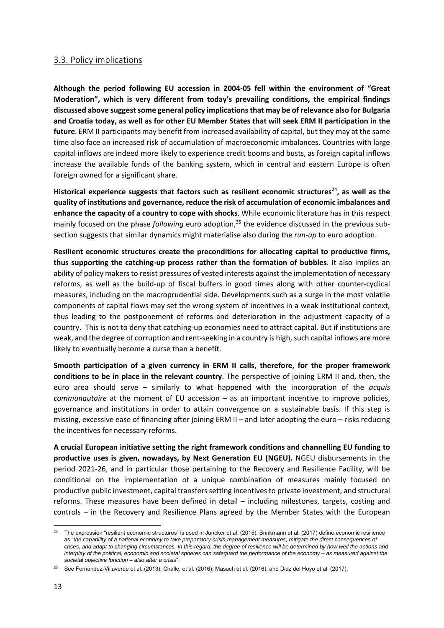### 3.3. Policy implications

**Although the period following EU accession in 2004‐05 fell within the environment of "Great Moderation", which is very different from today's prevailing conditions, the empirical findings discussed above suggest some general policy implications that may be of relevance also for Bulgaria and Croatia today, as well as for other EU Member States that will seek ERM II participation in the future**. ERM II participants may benefit from increased availability of capital, but they may at the same time also face an increased risk of accumulation of macroeconomic imbalances. Countries with large capital inflows are indeed more likely to experience credit booms and busts, as foreign capital inflows increase the available funds of the banking system, which in central and eastern Europe is often foreign owned for a significant share.

**Historical experience suggests that factors such as resilient economic structures**<sup>24</sup>**, as well as the quality of institutions and governance, reduce the risk of accumulation of economic imbalances and enhance the capacity of a country to cope with shocks**. While economic literature has in this respect mainly focused on the phase *following* euro adoption,<sup>25</sup> the evidence discussed in the previous subsection suggests that similar dynamics might materialise also during the *run‐up* to euro adoption.

**Resilient economic structures create the preconditions for allocating capital to productive firms, thus supporting the catching‐up process rather than the formation of bubbles**. It also implies an ability of policy makers to resist pressures of vested interests against the implementation of necessary reforms, as well as the build‐up of fiscal buffers in good times along with other counter‐cyclical measures, including on the macroprudential side. Developments such as a surge in the most volatile components of capital flows may set the wrong system of incentives in a weak institutional context, thus leading to the postponement of reforms and deterioration in the adjustment capacity of a country. This is not to deny that catching-up economies need to attract capital. But if institutions are weak, and the degree of corruption and rent-seeking in a country is high, such capital inflows are more likely to eventually become a curse than a benefit.

**Smooth participation of a given currency in ERM II calls, therefore, for the proper framework conditions to be in place in the relevant country**. The perspective of joining ERM II and, then, the euro area should serve – similarly to what happened with the incorporation of the *acquis communautaire* at the moment of EU accession – as an important incentive to improve policies, governance and institutions in order to attain convergence on a sustainable basis. If this step is missing, excessive ease of financing after joining ERM II – and later adopting the euro – risks reducing the incentives for necessary reforms.

**A crucial European initiative setting the right framework conditions and channelling EU funding to productive uses is given, nowadays, by Next Generation EU (NGEU).** NGEU disbursements in the period 2021‐26, and in particular those pertaining to the Recovery and Resilience Facility, will be conditional on the implementation of a unique combination of measures mainly focused on productive public investment, capital transfers setting incentives to private investment, and structural reforms. These measures have been defined in detail – including milestones, targets, costing and controls – in the Recovery and Resilience Plans agreed by the Member States with the European

<sup>&</sup>lt;sup>24</sup> The expression "resilient economic structures" is used in Juncker et al. (2015). Brinkmann et al. (2017) define economic resilience as "*the capability of a national economy to take preparatory crisis-management measures, mitigate the direct consequences of crises, and adapt to changing circumstances. In this regard, the degree of resilience will be determined by how well the actions and interplay of the political, economic and societal spheres can safeguard the performance of the economy – as measured against the societal objective function – also after a crisis*".

 $25$  See Fernandez-Villaverde et al. (2013); Challe, et al. (2016); Masuch et al. (2016); and Diaz del Hoyo et al. (2017).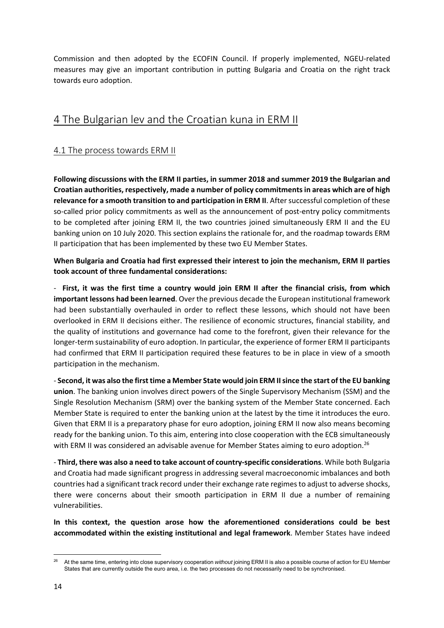Commission and then adopted by the ECOFIN Council. If properly implemented, NGEU‐related measures may give an important contribution in putting Bulgaria and Croatia on the right track towards euro adoption.

# 4 The Bulgarian lev and the Croatian kuna in ERM II

## 4.1 The process towards ERM II

**Following discussions with the ERM II parties, in summer 2018 and summer 2019 the Bulgarian and Croatian authorities, respectively, made a number of policy commitments in areas which are of high relevance for a smooth transition to and participation in ERM II**. After successful completion of these so-called prior policy commitments as well as the announcement of post-entry policy commitments to be completed after joining ERM II, the two countries joined simultaneously ERM II and the EU banking union on 10 July 2020. This section explains the rationale for, and the roadmap towards ERM II participation that has been implemented by these two EU Member States.

### **When Bulgaria and Croatia had first expressed their interest to join the mechanism, ERM II parties took account of three fundamental considerations:**

‐ **First, it was the first time a country would join ERM II after the financial crisis, from which important lessons had been learned**. Over the previous decade the European institutional framework had been substantially overhauled in order to reflect these lessons, which should not have been overlooked in ERM II decisions either. The resilience of economic structures, financial stability, and the quality of institutions and governance had come to the forefront, given their relevance for the longer-term sustainability of euro adoption. In particular, the experience of former ERM II participants had confirmed that ERM II participation required these features to be in place in view of a smooth participation in the mechanism.

‐ **Second, it was also the first time a Member State would join ERM II since the start of the EU banking union**. The banking union involves direct powers of the Single Supervisory Mechanism (SSM) and the Single Resolution Mechanism (SRM) over the banking system of the Member State concerned. Each Member State is required to enter the banking union at the latest by the time it introduces the euro. Given that ERM II is a preparatory phase for euro adoption, joining ERM II now also means becoming ready for the banking union. To this aim, entering into close cooperation with the ECB simultaneously with ERM II was considered an advisable avenue for Member States aiming to euro adoption.<sup>26</sup>

‐ **Third, there was also a need to take account of country‐specific considerations**. While both Bulgaria and Croatia had made significant progress in addressing several macroeconomic imbalances and both countries had a significant track record under their exchange rate regimes to adjust to adverse shocks, there were concerns about their smooth participation in ERM II due a number of remaining vulnerabilities.

**In this context, the question arose how the aforementioned considerations could be best accommodated within the existing institutional and legal framework**. Member States have indeed

<sup>26</sup> At the same time, entering into close supervisory cooperation *without* joining ERM II is also a possible course of action for EU Member States that are currently outside the euro area, i.e. the two processes do not necessarily need to be synchronised.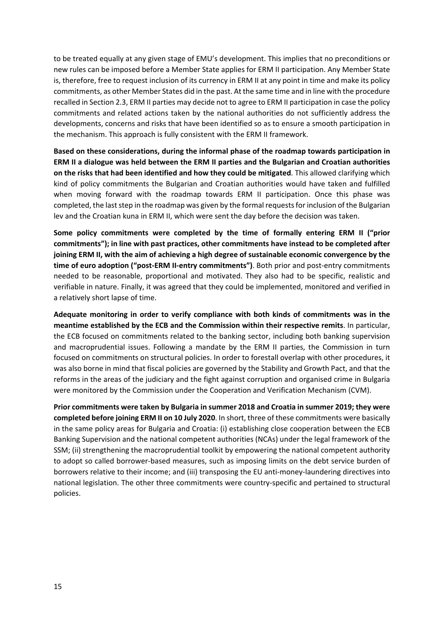to be treated equally at any given stage of EMU's development. This implies that no preconditions or new rules can be imposed before a Member State applies for ERM II participation. Any Member State is, therefore, free to request inclusion of its currency in ERM II at any point in time and make its policy commitments, as other Member States did in the past. At the same time and in line with the procedure recalled in Section 2.3, ERM II parties may decide not to agree to ERM II participation in case the policy commitments and related actions taken by the national authorities do not sufficiently address the developments, concerns and risks that have been identified so as to ensure a smooth participation in the mechanism. This approach is fully consistent with the ERM II framework.

**Based on these considerations, during the informal phase of the roadmap towards participation in ERM II a dialogue was held between the ERM II parties and the Bulgarian and Croatian authorities on the risks that had been identified and how they could be mitigated**. This allowed clarifying which kind of policy commitments the Bulgarian and Croatian authorities would have taken and fulfilled when moving forward with the roadmap towards ERM II participation. Once this phase was completed, the last step in the roadmap was given by the formal requests for inclusion of the Bulgarian lev and the Croatian kuna in ERM II, which were sent the day before the decision was taken.

**Some policy commitments were completed by the time of formally entering ERM II ("prior commitments"); in line with past practices, other commitments have instead to be completed after joining ERM II, with the aim of achieving a high degree of sustainable economic convergence by the time of euro adoption ("post‐ERM II‐entry commitments")**. Both prior and post‐entry commitments needed to be reasonable, proportional and motivated. They also had to be specific, realistic and verifiable in nature. Finally, it was agreed that they could be implemented, monitored and verified in a relatively short lapse of time.

**Adequate monitoring in order to verify compliance with both kinds of commitments was in the meantime established by the ECB and the Commission within their respective remits**. In particular, the ECB focused on commitments related to the banking sector, including both banking supervision and macroprudential issues. Following a mandate by the ERM II parties, the Commission in turn focused on commitments on structural policies. In order to forestall overlap with other procedures, it was also borne in mind that fiscal policies are governed by the Stability and Growth Pact, and that the reforms in the areas of the judiciary and the fight against corruption and organised crime in Bulgaria were monitored by the Commission under the Cooperation and Verification Mechanism (CVM).

**Prior commitments were taken by Bulgaria in summer 2018 and Croatia in summer 2019; they were completed before joining ERM II on 10 July 2020**. In short, three of these commitments were basically in the same policy areas for Bulgaria and Croatia: (i) establishing close cooperation between the ECB Banking Supervision and the national competent authorities (NCAs) under the legal framework of the SSM; (ii) strengthening the macroprudential toolkit by empowering the national competent authority to adopt so called borrower‐based measures, such as imposing limits on the debt service burden of borrowers relative to their income; and (iii) transposing the EU anti-money-laundering directives into national legislation. The other three commitments were country‐specific and pertained to structural policies.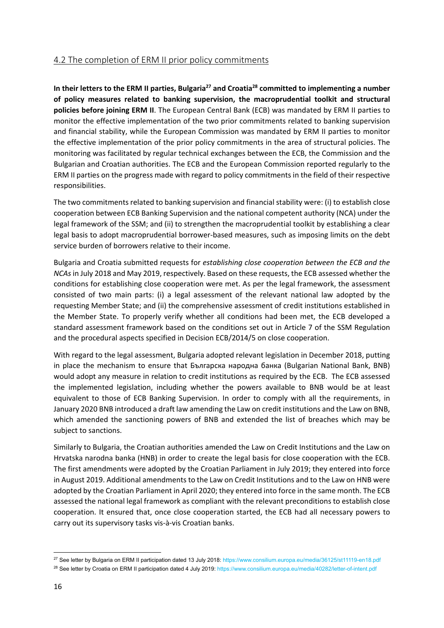### 4.2 The completion of ERM II prior policy commitments

In their letters to the ERM II parties, Bulgaria<sup>27</sup> and Croatia<sup>28</sup> committed to implementing a number **of policy measures related to banking supervision, the macroprudential toolkit and structural policies before joining ERM II**. The European Central Bank (ECB) was mandated by ERM II parties to monitor the effective implementation of the two prior commitments related to banking supervision and financial stability, while the European Commission was mandated by ERM II parties to monitor the effective implementation of the prior policy commitments in the area of structural policies. The monitoring was facilitated by regular technical exchanges between the ECB, the Commission and the Bulgarian and Croatian authorities. The ECB and the European Commission reported regularly to the ERM II parties on the progress made with regard to policy commitments in the field of their respective responsibilities.

The two commitments related to banking supervision and financial stability were: (i) to establish close cooperation between ECB Banking Supervision and the national competent authority (NCA) under the legal framework of the SSM; and (ii) to strengthen the macroprudential toolkit by establishing a clear legal basis to adopt macroprudential borrower‐based measures, such as imposing limits on the debt service burden of borrowers relative to their income.

Bulgaria and Croatia submitted requests for *establishing close cooperation between the ECB and the NCAs* in July 2018 and May 2019, respectively. Based on these requests, the ECB assessed whether the conditions for establishing close cooperation were met. As per the legal framework, the assessment consisted of two main parts: (i) a legal assessment of the relevant national law adopted by the requesting Member State; and (ii) the comprehensive assessment of credit institutions established in the Member State. To properly verify whether all conditions had been met, the ECB developed a standard assessment framework based on the conditions set out in Article 7 of the SSM Regulation and the procedural aspects specified in Decision ECB/2014/5 on close cooperation.

With regard to the legal assessment, Bulgaria adopted relevant legislation in December 2018, putting in place the mechanism to ensure that Българска народна банка (Bulgarian National Bank, BNB) would adopt any measure in relation to credit institutions as required by the ECB. The ECB assessed the implemented legislation, including whether the powers available to BNB would be at least equivalent to those of ECB Banking Supervision. In order to comply with all the requirements, in January 2020 BNB introduced a draft law amending the Law on credit institutions and the Law on BNB, which amended the sanctioning powers of BNB and extended the list of breaches which may be subject to sanctions.

Similarly to Bulgaria, the Croatian authorities amended the Law on Credit Institutions and the Law on Hrvatska narodna banka (HNB) in order to create the legal basis for close cooperation with the ECB. The first amendments were adopted by the Croatian Parliament in July 2019; they entered into force in August 2019. Additional amendments to the Law on Credit Institutions and to the Law on HNB were adopted by the Croatian Parliament in April 2020; they entered into force in the same month. The ECB assessed the national legal framework as compliant with the relevant preconditions to establish close cooperation. It ensured that, once close cooperation started, the ECB had all necessary powers to carry out its supervisory tasks vis‐à‐vis Croatian banks.

<sup>&</sup>lt;sup>27</sup> See letter by Bulgaria on ERM II participation dated 13 July 2018: https://www.consilium.europa.eu/media/36125/st11119-en18.pdf

<sup>&</sup>lt;sup>28</sup> See letter by Croatia on ERM II participation dated 4 July 2019: https://www.consilium.europa.eu/media/40282/letter-of-intent.pdf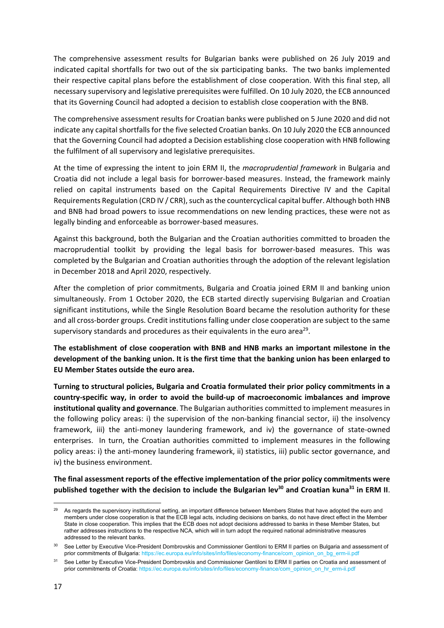The comprehensive assessment results for Bulgarian banks were published on 26 July 2019 and indicated capital shortfalls for two out of the six participating banks. The two banks implemented their respective capital plans before the establishment of close cooperation. With this final step, all necessary supervisory and legislative prerequisites were fulfilled. On 10 July 2020, the ECB announced that its Governing Council had adopted a decision to establish close cooperation with the BNB.

The comprehensive assessment results for Croatian banks were published on 5 June 2020 and did not indicate any capital shortfalls for the five selected Croatian banks. On 10 July 2020 the ECB announced that the Governing Council had adopted a Decision establishing close cooperation with HNB following the fulfilment of all supervisory and legislative prerequisites.

At the time of expressing the intent to join ERM II, the *macroprudential framework* in Bulgaria and Croatia did not include a legal basis for borrower‐based measures. Instead, the framework mainly relied on capital instruments based on the Capital Requirements Directive IV and the Capital Requirements Regulation (CRD IV / CRR), such as the countercyclical capital buffer. Although both HNB and BNB had broad powers to issue recommendations on new lending practices, these were not as legally binding and enforceable as borrower‐based measures.

Against this background, both the Bulgarian and the Croatian authorities committed to broaden the macroprudential toolkit by providing the legal basis for borrower-based measures. This was completed by the Bulgarian and Croatian authorities through the adoption of the relevant legislation in December 2018 and April 2020, respectively.

After the completion of prior commitments, Bulgaria and Croatia joined ERM II and banking union simultaneously. From 1 October 2020, the ECB started directly supervising Bulgarian and Croatian significant institutions, while the Single Resolution Board became the resolution authority for these and all cross‐border groups. Credit institutions falling under close cooperation are subject to the same supervisory standards and procedures as their equivalents in the euro area<sup>29</sup>.

**The establishment of close cooperation with BNB and HNB marks an important milestone in the development of the banking union. It is the first time that the banking union has been enlarged to EU Member States outside the euro area.** 

**Turning to structural policies, Bulgaria and Croatia formulated their prior policy commitments in a country‐specific way, in order to avoid the build‐up of macroeconomic imbalances and improve institutional quality and governance**. The Bulgarian authorities committed to implement measures in the following policy areas: i) the supervision of the non-banking financial sector, ii) the insolvency framework, iii) the anti-money laundering framework, and iv) the governance of state-owned enterprises. In turn, the Croatian authorities committed to implement measures in the following policy areas: i) the anti‐money laundering framework, ii) statistics, iii) public sector governance, and iv) the business environment.

**The final assessment reports of the effective implementation of the prior policy commitments were**  published together with the decision to include the Bulgarian lev<sup>30</sup> and Croatian kuna<sup>31</sup> in ERM II.

<sup>&</sup>lt;sup>29</sup> As regards the supervisory institutional setting, an important difference between Members States that have adopted the euro and members under close cooperation is that the ECB legal acts, including decisions on banks, do not have direct effect in the Member State in close cooperation. This implies that the ECB does not adopt decisions addressed to banks in these Member States, but rather addresses instructions to the respective NCA, which will in turn adopt the required national administrative measures addressed to the relevant banks.

<sup>&</sup>lt;sup>30</sup> See Letter by Executive Vice-President Dombrovskis and Commissioner Gentiloni to ERM II parties on Bulgaria and assessment of prior commitments of Bulgaria: https://ec.europa.eu/info/sites/info/files/economy-finance/com\_opinion\_on\_bg\_erm-ii.pdf

<sup>31</sup> See Letter by Executive Vice-President Dombrovskis and Commissioner Gentiloni to ERM II parties on Croatia and assessment of prior commitments of Croatia: https://ec.europa.eu/info/sites/info/files/economy-finance/com\_opinion\_on\_hr\_erm-ii.pdf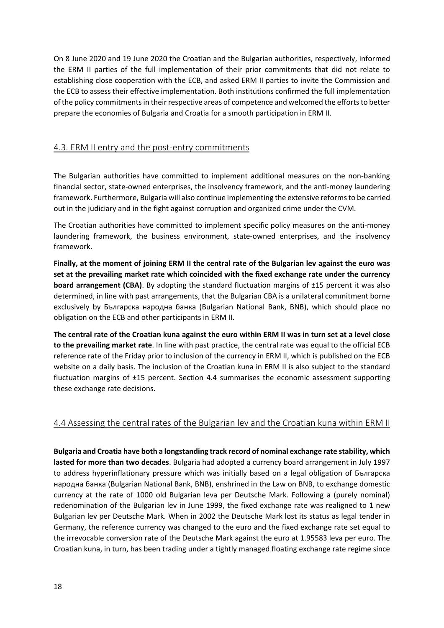On 8 June 2020 and 19 June 2020 the Croatian and the Bulgarian authorities, respectively, informed the ERM II parties of the full implementation of their prior commitments that did not relate to establishing close cooperation with the ECB, and asked ERM II parties to invite the Commission and the ECB to assess their effective implementation. Both institutions confirmed the full implementation of the policy commitments in their respective areas of competence and welcomed the efforts to better prepare the economies of Bulgaria and Croatia for a smooth participation in ERM II.

### 4.3. ERM II entry and the post-entry commitments

The Bulgarian authorities have committed to implement additional measures on the non-banking financial sector, state-owned enterprises, the insolvency framework, and the anti-money laundering framework. Furthermore, Bulgaria will also continue implementing the extensive reforms to be carried out in the judiciary and in the fight against corruption and organized crime under the CVM.

The Croatian authorities have committed to implement specific policy measures on the anti-money laundering framework, the business environment, state-owned enterprises, and the insolvency framework.

**Finally, at the moment of joining ERM II the central rate of the Bulgarian lev against the euro was set at the prevailing market rate which coincided with the fixed exchange rate under the currency board arrangement (CBA)**. By adopting the standard fluctuation margins of ±15 percent it was also determined, in line with past arrangements, that the Bulgarian CBA is a unilateral commitment borne exclusively by Българска народна банка (Bulgarian National Bank, BNB), which should place no obligation on the ECB and other participants in ERM II.

**The central rate of the Croatian kuna against the euro within ERM II was in turn set at a level close to the prevailing market rate**. In line with past practice, the central rate was equal to the official ECB reference rate of the Friday prior to inclusion of the currency in ERM II, which is published on the ECB website on a daily basis. The inclusion of the Croatian kuna in ERM II is also subject to the standard fluctuation margins of ±15 percent. Section 4.4 summarises the economic assessment supporting these exchange rate decisions.

### 4.4 Assessing the central rates of the Bulgarian lev and the Croatian kuna within ERM II

**Bulgaria and Croatia have both a longstanding track record of nominal exchange rate stability, which lasted for more than two decades**. Bulgaria had adopted a currency board arrangement in July 1997 to address hyperinflationary pressure which was initially based on a legal obligation of Българска народна банка (Bulgarian National Bank, BNB), enshrined in the Law on BNB, to exchange domestic currency at the rate of 1000 old Bulgarian leva per Deutsche Mark. Following a (purely nominal) redenomination of the Bulgarian lev in June 1999, the fixed exchange rate was realigned to 1 new Bulgarian lev per Deutsche Mark. When in 2002 the Deutsche Mark lost its status as legal tender in Germany, the reference currency was changed to the euro and the fixed exchange rate set equal to the irrevocable conversion rate of the Deutsche Mark against the euro at 1.95583 leva per euro. The Croatian kuna, in turn, has been trading under a tightly managed floating exchange rate regime since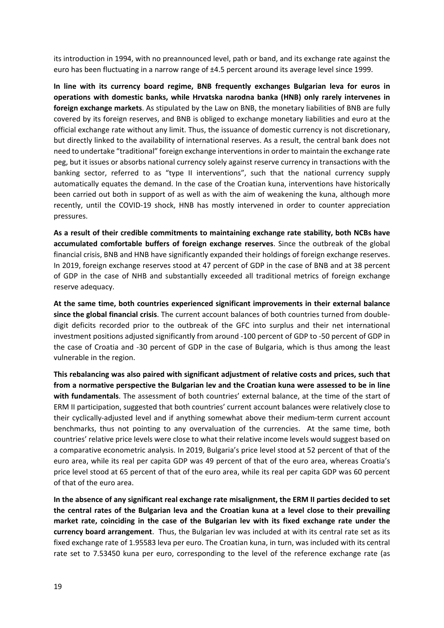its introduction in 1994, with no preannounced level, path or band, and its exchange rate against the euro has been fluctuating in a narrow range of ±4.5 percent around its average level since 1999.

**In line with its currency board regime, BNB frequently exchanges Bulgarian leva for euros in operations with domestic banks, while Hrvatska narodna banka (HNB) only rarely intervenes in foreign exchange markets**. As stipulated by the Law on BNB, the monetary liabilities of BNB are fully covered by its foreign reserves, and BNB is obliged to exchange monetary liabilities and euro at the official exchange rate without any limit. Thus, the issuance of domestic currency is not discretionary, but directly linked to the availability of international reserves. As a result, the central bank does not need to undertake "traditional" foreign exchange interventions in order to maintain the exchange rate peg, but it issues or absorbs national currency solely against reserve currency in transactions with the banking sector, referred to as "type II interventions", such that the national currency supply automatically equates the demand. In the case of the Croatian kuna, interventions have historically been carried out both in support of as well as with the aim of weakening the kuna, although more recently, until the COVID-19 shock, HNB has mostly intervened in order to counter appreciation pressures.

**As a result of their credible commitments to maintaining exchange rate stability, both NCBs have accumulated comfortable buffers of foreign exchange reserves**. Since the outbreak of the global financial crisis, BNB and HNB have significantly expanded their holdings of foreign exchange reserves. In 2019, foreign exchange reserves stood at 47 percent of GDP in the case of BNB and at 38 percent of GDP in the case of NHB and substantially exceeded all traditional metrics of foreign exchange reserve adequacy.

**At the same time, both countries experienced significant improvements in their external balance since the global financial crisis**. The current account balances of both countries turned from double‐ digit deficits recorded prior to the outbreak of the GFC into surplus and their net international investment positions adjusted significantly from around ‐100 percent of GDP to ‐50 percent of GDP in the case of Croatia and -30 percent of GDP in the case of Bulgaria, which is thus among the least vulnerable in the region.

**This rebalancing was also paired with significant adjustment of relative costs and prices, such that from a normative perspective the Bulgarian lev and the Croatian kuna were assessed to be in line with fundamentals**. The assessment of both countries' external balance, at the time of the start of ERM II participation, suggested that both countries' current account balances were relatively close to their cyclically‐adjusted level and if anything somewhat above their medium‐term current account benchmarks, thus not pointing to any overvaluation of the currencies. At the same time, both countries' relative price levels were close to what their relative income levels would suggest based on a comparative econometric analysis. In 2019, Bulgaria's price level stood at 52 percent of that of the euro area, while its real per capita GDP was 49 percent of that of the euro area, whereas Croatia's price level stood at 65 percent of that of the euro area, while its real per capita GDP was 60 percent of that of the euro area.

**In the absence of any significant real exchange rate misalignment, the ERM II parties decided to set the central rates of the Bulgarian leva and the Croatian kuna at a level close to their prevailing market rate, coinciding in the case of the Bulgarian lev with its fixed exchange rate under the currency board arrangement**. Thus, the Bulgarian lev was included at with its central rate set as its fixed exchange rate of 1.95583 leva per euro. The Croatian kuna, in turn, was included with its central rate set to 7.53450 kuna per euro, corresponding to the level of the reference exchange rate (as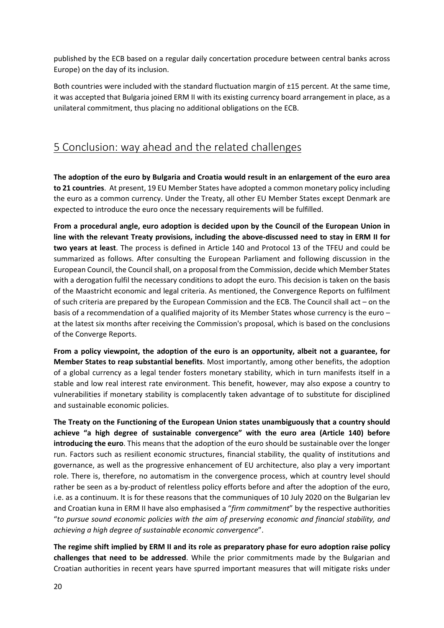published by the ECB based on a regular daily concertation procedure between central banks across Europe) on the day of its inclusion.

Both countries were included with the standard fluctuation margin of ±15 percent. At the same time, it was accepted that Bulgaria joined ERM II with its existing currency board arrangement in place, as a unilateral commitment, thus placing no additional obligations on the ECB.

# 5 Conclusion: way ahead and the related challenges

**The adoption of the euro by Bulgaria and Croatia would result in an enlargement of the euro area to 21 countries**. At present, 19 EU Member States have adopted a common monetary policy including the euro as a common currency. Under the Treaty, all other EU Member States except Denmark are expected to introduce the euro once the necessary requirements will be fulfilled.

**From a procedural angle, euro adoption is decided upon by the Council of the European Union in line with the relevant Treaty provisions, including the above‐discussed need to stay in ERM II for two years at least**. The process is defined in Article 140 and Protocol 13 of the TFEU and could be summarized as follows. After consulting the European Parliament and following discussion in the European Council, the Council shall, on a proposal from the Commission, decide which Member States with a derogation fulfil the necessary conditions to adopt the euro. This decision is taken on the basis of the Maastricht economic and legal criteria. As mentioned, the Convergence Reports on fulfilment of such criteria are prepared by the European Commission and the ECB. The Council shall act – on the basis of a recommendation of a qualified majority of its Member States whose currency is the euro – at the latest six months after receiving the Commission's proposal, which is based on the conclusions of the Converge Reports.

**From a policy viewpoint, the adoption of the euro is an opportunity, albeit not a guarantee, for Member States to reap substantial benefits**. Most importantly, among other benefits, the adoption of a global currency as a legal tender fosters monetary stability, which in turn manifests itself in a stable and low real interest rate environment. This benefit, however, may also expose a country to vulnerabilities if monetary stability is complacently taken advantage of to substitute for disciplined and sustainable economic policies.

**The Treaty on the Functioning of the European Union states unambiguously that a country should achieve "a high degree of sustainable convergence" with the euro area (Article 140) before introducing the euro**. This means that the adoption of the euro should be sustainable over the longer run. Factors such as resilient economic structures, financial stability, the quality of institutions and governance, as well as the progressive enhancement of EU architecture, also play a very important role. There is, therefore, no automatism in the convergence process, which at country level should rather be seen as a by-product of relentless policy efforts before and after the adoption of the euro, i.e. as a continuum. It is for these reasons that the communiques of 10 July 2020 on the Bulgarian lev and Croatian kuna in ERM II have also emphasised a "*firm commitment*" by the respective authorities "*to pursue sound economic policies with the aim of preserving economic and financial stability, and achieving a high degree of sustainable economic convergence*".

**The regime shift implied by ERM II and its role as preparatory phase for euro adoption raise policy challenges that need to be addressed**. While the prior commitments made by the Bulgarian and Croatian authorities in recent years have spurred important measures that will mitigate risks under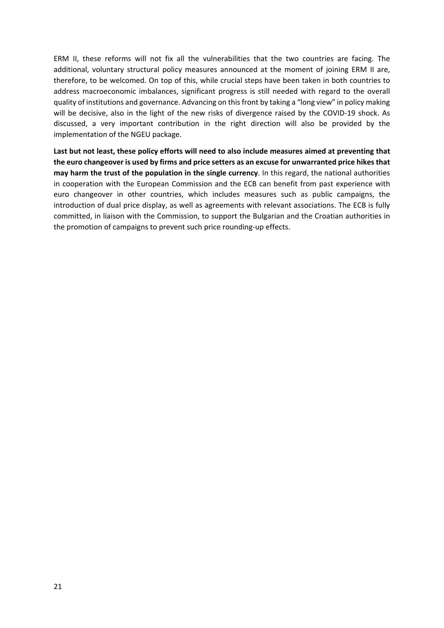ERM II, these reforms will not fix all the vulnerabilities that the two countries are facing. The additional, voluntary structural policy measures announced at the moment of joining ERM II are, therefore, to be welcomed. On top of this, while crucial steps have been taken in both countries to address macroeconomic imbalances, significant progress is still needed with regard to the overall quality of institutions and governance. Advancing on this front by taking a "long view" in policy making will be decisive, also in the light of the new risks of divergence raised by the COVID-19 shock. As discussed, a very important contribution in the right direction will also be provided by the implementation of the NGEU package.

**Last but not least, these policy efforts will need to also include measures aimed at preventing that the euro changeover is used by firms and price setters as an excuse for unwarranted price hikes that may harm the trust of the population in the single currency**. In this regard, the national authorities in cooperation with the European Commission and the ECB can benefit from past experience with euro changeover in other countries, which includes measures such as public campaigns, the introduction of dual price display, as well as agreements with relevant associations. The ECB is fully committed, in liaison with the Commission, to support the Bulgarian and the Croatian authorities in the promotion of campaigns to prevent such price rounding‐up effects.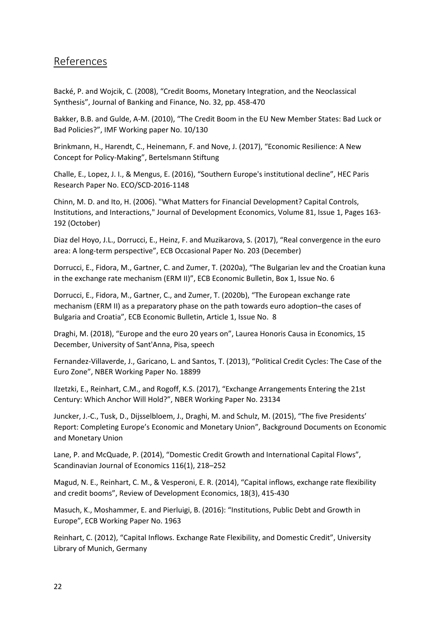## References

Backé, P. and Wojcik, C. (2008), "Credit Booms, Monetary Integration, and the Neoclassical Synthesis", Journal of Banking and Finance, No. 32, pp. 458‐470

Bakker, B.B. and Gulde, A‐M. (2010), "The Credit Boom in the EU New Member States: Bad Luck or Bad Policies?", IMF Working paper No. 10/130

Brinkmann, H., Harendt, C., Heinemann, F. and Nove, J. (2017), "Economic Resilience: A New Concept for Policy‐Making", Bertelsmann Stiftung

Challe, E., Lopez, J. I., & Mengus, E. (2016), "Southern Europe's institutional decline", HEC Paris Research Paper No. ECO/SCD‐2016‐1148

Chinn, M. D. and Ito, H. (2006). "What Matters for Financial Development? Capital Controls, Institutions, and Interactions," Journal of Development Economics, Volume 81, Issue 1, Pages 163‐ 192 (October)

Diaz del Hoyo, J.L., Dorrucci, E., Heinz, F. and Muzikarova, S. (2017), "Real convergence in the euro area: A long‐term perspective", ECB Occasional Paper No. 203 (December)

Dorrucci, E., Fidora, M., Gartner, C. and Zumer, T. (2020a), "The Bulgarian lev and the Croatian kuna in the exchange rate mechanism (ERM II)", ECB Economic Bulletin, Box 1, Issue No. 6

Dorrucci, E., Fidora, M., Gartner, C., and Zumer, T. (2020b), "The European exchange rate mechanism (ERM II) as a preparatory phase on the path towards euro adoption–the cases of Bulgaria and Croatia", ECB Economic Bulletin, Article 1, Issue No. 8

Draghi, M. (2018), "Europe and the euro 20 years on", Laurea Honoris Causa in Economics, 15 December, University of Sant'Anna, Pisa, speech

Fernandez‐Villaverde, J., Garicano, L. and Santos, T. (2013), "Political Credit Cycles: The Case of the Euro Zone", NBER Working Paper No. 18899

Ilzetzki, E., Reinhart, C.M., and Rogoff, K.S. (2017), "Exchange Arrangements Entering the 21st Century: Which Anchor Will Hold?", NBER Working Paper No. 23134

Juncker, J.‐C., Tusk, D., Dijsselbloem, J., Draghi, M. and Schulz, M. (2015), "The five Presidents' Report: Completing Europe's Economic and Monetary Union", Background Documents on Economic and Monetary Union

Lane, P. and McQuade, P. (2014), "Domestic Credit Growth and International Capital Flows", Scandinavian Journal of Economics 116(1), 218–252

Magud, N. E., Reinhart, C. M., & Vesperoni, E. R. (2014), "Capital inflows, exchange rate flexibility and credit booms", Review of Development Economics, 18(3), 415‐430

Masuch, K., Moshammer, E. and Pierluigi, B. (2016): "Institutions, Public Debt and Growth in Europe", ECB Working Paper No. 1963

Reinhart, C. (2012), "Capital Inflows. Exchange Rate Flexibility, and Domestic Credit", University Library of Munich, Germany